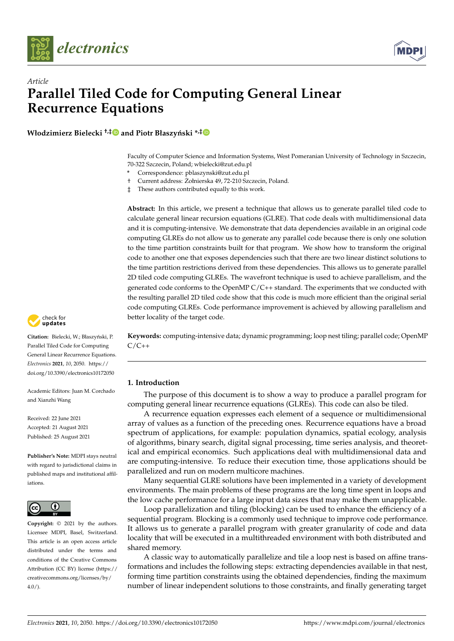



# *Article* **Parallel Tiled Code for Computing General Linear Recurrence Equations**

**Włodzimierz Bielecki<sup>†,[‡](https://orcid.org/0000-0001-8892-7705)</sup>D** and Piotr Błaszyński<sup>\*,‡</sup>D

Faculty of Computer Science and Information Systems, West Pomeranian University of Technology in Szczecin, 70-322 Szczecin, Poland; wbielecki@zut.edu.pl

**\*** Correspondence: pblaszynski@zut.edu.pl

† Current address: Zołnierska 49, 72-210 Szczecin, Poland. ˙

‡ These authors contributed equally to this work.

**Abstract:** In this article, we present a technique that allows us to generate parallel tiled code to calculate general linear recursion equations (GLRE). That code deals with multidimensional data and it is computing-intensive. We demonstrate that data dependencies available in an original code computing GLREs do not allow us to generate any parallel code because there is only one solution to the time partition constraints built for that program. We show how to transform the original code to another one that exposes dependencies such that there are two linear distinct solutions to the time partition restrictions derived from these dependencies. This allows us to generate parallel 2D tiled code computing GLREs. The wavefront technique is used to achieve parallelism, and the generated code conforms to the OpenMP  $C/C++$  standard. The experiments that we conducted with the resulting parallel 2D tiled code show that this code is much more efficient than the original serial code computing GLREs. Code performance improvement is achieved by allowing parallelism and better locality of the target code.

check for **-**

Citation: Bielecki, W.; Błaszyński, P. Parallel Tiled Code for Computing General Linear Recurrence Equations. *Electronics* **2021**, *10*, 2050. [https://](https://doi.org/10.3390/electronics10172050) [doi.org/10.3390/electronics10172050](https://doi.org/10.3390/electronics10172050)

Academic Editors: Juan M. Corchado and Xianzhi Wang

Received: 22 June 2021 Accepted: 21 August 2021 Published: 25 August 2021

**Publisher's Note:** MDPI stays neutral with regard to jurisdictional claims in published maps and institutional affiliations.



**Copyright:** © 2021 by the authors. Licensee MDPI, Basel, Switzerland. This article is an open access article distributed under the terms and conditions of the Creative Commons Attribution (CC BY) license (https:/[/](https://creativecommons.org/licenses/by/4.0/) [creativecommons.org/licenses/by/](https://creativecommons.org/licenses/by/4.0/)  $4.0/$ ).

**Keywords:** computing-intensive data; dynamic programming; loop nest tiling; parallel code; OpenMP  $C/C++$ 

## **1. Introduction**

The purpose of this document is to show a way to produce a parallel program for computing general linear recurrence equations (GLREs). This code can also be tiled.

A recurrence equation expresses each element of a sequence or multidimensional array of values as a function of the preceding ones. Recurrence equations have a broad spectrum of applications, for example: population dynamics, spatial ecology, analysis of algorithms, binary search, digital signal processing, time series analysis, and theoretical and empirical economics. Such applications deal with multidimensional data and are computing-intensive. To reduce their execution time, those applications should be parallelized and run on modern multicore machines.

Many sequential GLRE solutions have been implemented in a variety of development environments. The main problems of these programs are the long time spent in loops and the low cache performance for a large input data sizes that may make them unapplicable.

Loop parallelization and tiling (blocking) can be used to enhance the efficiency of a sequential program. Blocking is a commonly used technique to improve code performance. It allows us to generate a parallel program with greater granularity of code and data locality that will be executed in a multithreaded environment with both distributed and shared memory.

A classic way to automatically parallelize and tile a loop nest is based on affine transformations and includes the following steps: extracting dependencies available in that nest, forming time partition constraints using the obtained dependencies, finding the maximum number of linear independent solutions to those constraints, and finally generating target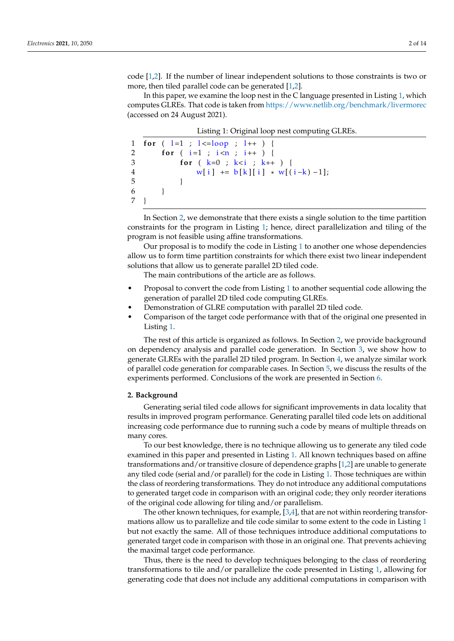code [\[1](#page-12-0)[,2\]](#page-12-1). If the number of linear independent solutions to those constraints is two or more, then tiled parallel code can be generated [\[1,](#page-12-0)[2\]](#page-12-1).

In this paper, we examine the loop nest in the C language presented in Listing [1,](#page-1-0) which computes GLREs. That code is taken from <https://www.netlib.org/benchmark/livermorec> (accessed on 24 August 2021).

Listing 1: Original loop nest computing GLREs.

```
1 for ( l=1 ; l<=loop ; l++ ) {
2 for (i=1 ; i \le n ; i++)3 for ( k=0 ; k< i ; k++ ) {
4 w[i] += b[k][i] * w[(i-k) - 1];
5 }
6 }
7 }
```
In Section [2,](#page-1-1) we demonstrate that there exists a single solution to the time partition constraints for the program in Listing [1;](#page-1-0) hence, direct parallelization and tiling of the program is not feasible using affine transformations.

Our proposal is to modify the code in Listing [1](#page-1-0) to another one whose dependencies allow us to form time partition constraints for which there exist two linear independent solutions that allow us to generate parallel 2D tiled code.

The main contributions of the article are as follows.

- Proposal to convert the code from Listing [1](#page-1-0) to another sequential code allowing the generation of parallel 2D tiled code computing GLREs.
- Demonstration of GLRE computation with parallel 2D tiled code.
- Comparison of the target code performance with that of the original one presented in Listing [1.](#page-1-0)

The rest of this article is organized as follows. In Section [2,](#page-1-1) we provide background on dependency analysis and parallel code generation. In Section [3,](#page-2-0) we show how to generate GLREs with the parallel 2D tiled program. In Section [4,](#page-7-0) we analyze similar work of parallel code generation for comparable cases. In Section [5,](#page-8-0) we discuss the results of the experiments performed. Conclusions of the work are presented in Section [6.](#page-12-2)

### <span id="page-1-1"></span>**2. Background**

Generating serial tiled code allows for significant improvements in data locality that results in improved program performance. Generating parallel tiled code lets on additional increasing code performance due to running such a code by means of multiple threads on many cores.

To our best knowledge, there is no technique allowing us to generate any tiled code examined in this paper and presented in Listing [1.](#page-1-0) All known techniques based on affine transformations and/or transitive closure of dependence graphs [\[1](#page-12-0)[,2\]](#page-12-1) are unable to generate any tiled code (serial and/or parallel) for the code in Listing [1.](#page-1-0) Those techniques are within the class of reordering transformations. They do not introduce any additional computations to generated target code in comparison with an original code; they only reorder iterations of the original code allowing for tiling and/or parallelism.

The other known techniques, for example,  $[3,4]$  $[3,4]$ , that are not within reordering transformations allow us to parallelize and tile code similar to some extent to the code in Listing [1](#page-1-0) but not exactly the same. All of those techniques introduce additional computations to generated target code in comparison with those in an original one. That prevents achieving the maximal target code performance.

Thus, there is the need to develop techniques belonging to the class of reordering transformations to tile and/or parallelize the code presented in Listing [1,](#page-1-0) allowing for generating code that does not include any additional computations in comparison with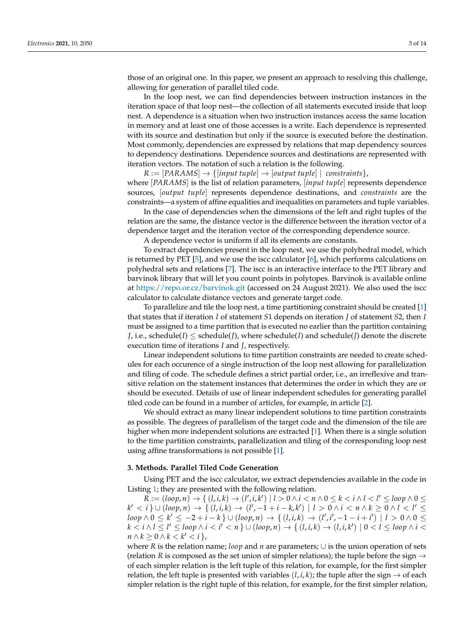those of an original one. In this paper, we present an approach to resolving this challenge, allowing for generation of parallel tiled code.

In the loop nest, we can find dependencies between instruction instances in the iteration space of that loop nest—the collection of all statements executed inside that loop nest. A dependence is a situation when two instruction instances access the same location in memory and at least one of those accesses is a write. Each dependence is represented with its source and destination but only if the source is executed before the destination. Most commonly, dependencies are expressed by relations that map dependency sources to dependency destinations. Dependence sources and destinations are represented with iteration vectors. The notation of such a relation is the following.

 $R := [PARAMS] \rightarrow \{[input tuple] \rightarrow [output tuple] \mid constants\},\$ where [*PARAMS*] is the list of relation parameters, [*input tuple*] represents dependence sources, [*output tuple*] represents dependence destinations, and *constraints* are the constraints—a system of affine equalities and inequalities on parameters and tuple variables.

In the case of dependencies when the dimensions of the left and right tuples of the relation are the same, the distance vector is the difference between the iteration vector of a dependence target and the iteration vector of the corresponding dependence source.

A dependence vector is uniform if all its elements are constants.

To extract dependencies present in the loop nest, we use the polyhedral model, which is returned by PET [\[5\]](#page-12-5), and we use the iscc calculator [\[6\]](#page-12-6), which performs calculations on polyhedral sets and relations [\[7\]](#page-12-7). The iscc is an interactive interface to the PET library and barvinok library that will let you count points in polytopes. Barvinok is available online at <https://repo.or.cz/barvinok.git> (accessed on 24 August 2021). We also used the iscc calculator to calculate distance vectors and generate target code.

To parallelize and tile the loop nest, a time partitioning constraint should be created [\[1\]](#page-12-0) that states that if iteration *I* of statement *S*1 depends on iteration *J* of statement *S*2, then *I* must be assigned to a time partition that is executed no earlier than the partition containing *J*, i.e., schedule(*I*)  $\leq$  schedule(*J*), where schedule(*I*) and schedule(*J*) denote the discrete execution time of iterations *I* and *J*, respectively.

Linear independent solutions to time partition constraints are needed to create schedules for each occurence of a single instruction of the loop nest allowing for parallelization and tiling of code. The schedule defines a strict partial order, i.e., an irreflexive and transitive relation on the statement instances that determines the order in which they are or should be executed. Details of use of linear independent schedules for generating parallel tiled code can be found in a number of articles, for example, in article [\[2\]](#page-12-1).

We should extract as many linear independent solutions to time partition constraints as possible. The degrees of parallelism of the target code and the dimension of the tile are higher when more independent solutions are extracted [\[1\]](#page-12-0). When there is a single solution to the time partition constraints, parallelization and tiling of the corresponding loop nest using affine transformations is not possible [\[1\]](#page-12-0).

#### <span id="page-2-0"></span>**3. Methods. Parallel Tiled Code Generation**

Using PET and the iscc calculator, we extract dependencies available in the code in Listing [1;](#page-1-0) they are presented with the following relation.

 $R := (loop, n) \rightarrow \{ (l, i, k) \rightarrow (l', i, k') \mid l > 0 \land i < n \land 0 \le k < i \land l < l' \le loop \land 0 \le k$  $k' < i$  }  $\cup$  (*loop*, *n*)  $\rightarrow$  {  $(l, i, k)$   $\rightarrow$   $(l', -1 + i - k, k')$  |  $l > 0 \land i < n \land k \ge 0 \land l < l' \le$  $loop \land 0 \le k' \le -2 + i - k$  }  $\cup (loop, n) \rightarrow \{(l, i, k) \rightarrow (l', i', -1 - i + i') \mid l > 0 \land 0 \le k'$  $k < i$   $\land$   $l \leq l' \leq$  loop  $\land$   $i < i' < n$   $\}$   $\cup$  (loop,  $n) \rightarrow$   $\{$   $(l, i, k) \rightarrow$   $(l, i, k') \mid 0 < l \leq$  loop  $\land$   $i <$  $n \wedge k \geq 0 \wedge k < k' < i$ 

where *R* is the relation name; *loop* and *n* are parameters; ∪ is the union operation of sets (relation *R* is composed as the set union of simpler relations); the tuple before the sign  $\rightarrow$ of each simpler relation is the left tuple of this relation, for example, for the first simpler relation, the left tuple is presented with variables  $(l, i, k)$ ; the tuple after the sign  $\rightarrow$  of each simpler relation is the right tuple of this relation, for example, for the first simpler relation,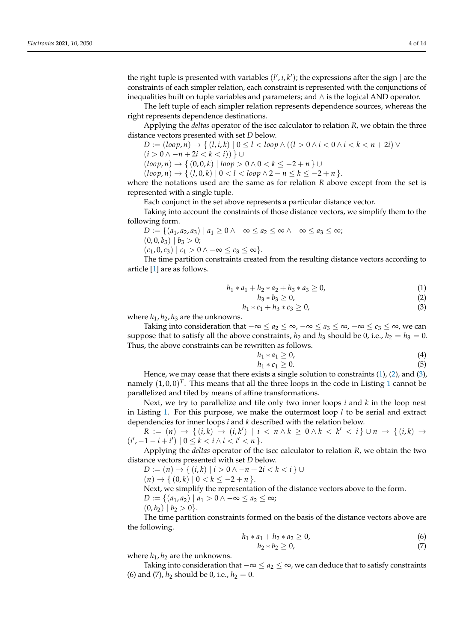the right tuple is presented with variables  $(l', i, k')$ ; the expressions after the sign | are the constraints of each simpler relation, each constraint is represented with the conjunctions of inequalities built on tuple variables and parameters; and ∧ is the logical AND operator.

The left tuple of each simpler relation represents dependence sources, whereas the right represents dependence destinations.

Applying the *deltas* operator of the iscc calculator to relation *R*, we obtain the three distance vectors presented with set *D* below.

$$
D := (loop, n) \to \{ (l, i, k) \mid 0 \le l < loop \land ((l > 0 \land i < 0 \land i < k < n + 2i) \lor (l < 0 \land i < k < n + 2i) \land (l < 0 \land i < k < n + 2i) \land (l < 0 \land i < k < n + 2i) \}
$$

$$
(i > 0 \land -n + 2i < k < i)) \} \cup
$$

(*loop*, *n*) → { (0, 0, *k*) | *loop* > 0 ∧ 0 < *k* ≤ −2 + *n* } ∪

$$
(loop, n) \rightarrow \{ (l, 0, k) \mid 0 < l < loop \land 2 - n \leq k \leq -2 + n \}.
$$

where the notations used are the same as for relation *R* above except from the set is represented with a single tuple.

Each conjunct in the set above represents a particular distance vector.

Taking into account the constraints of those distance vectors, we simplify them to the following form.

$$
D := \{ (a_1, a_2, a_3) \mid a_1 \ge 0 \land -\infty \le a_2 \le \infty \land -\infty \le a_3 \le \infty; (0, 0, b_3) \mid b_3 > 0; \}
$$

 $(c_1, 0, c_3) | c_1 > 0 \land -\infty \leq c_3 \leq \infty$ .

The time partition constraints created from the resulting distance vectors according to article [\[1\]](#page-12-0) are as follows.

<span id="page-3-0"></span>
$$
h_1 * a_1 + h_2 * a_2 + h_3 * a_3 \ge 0,
$$
\n<sup>(1)</sup>

<span id="page-3-1"></span>
$$
h_3 * b_3 \geq 0,\tag{2}
$$

<span id="page-3-2"></span>
$$
h_1 * c_1 + h_3 * c_3 \ge 0,\t\t(3)
$$

where  $h_1$ ,  $h_2$ ,  $h_3$  are the unknowns.

Taking into consideration that  $-\infty \le a_2 \le \infty$ ,  $-\infty \le a_3 \le \infty$ ,  $-\infty \le c_3 \le \infty$ , we can suppose that to satisfy all the above constraints,  $h_2$  and  $h_3$  should be 0, i.e.,  $h_2 = h_3 = 0$ . Thus, the above constraints can be rewritten as follows.

$$
h_1 * a_1 \geq 0,\tag{4}
$$

$$
h_1 * c_1 \geq 0. \tag{5}
$$

Hence, we may cease that there exists a single solution to constraints [\(1\)](#page-3-0), [\(2\)](#page-3-1), and [\(3\)](#page-3-2), namely  $(1,0,0)^T$  $(1,0,0)^T$  $(1,0,0)^T$ . This means that all the three loops in the code in Listing 1 cannot be parallelized and tiled by means of affine transformations.

Next, we try to parallelize and tile only two inner loops *i* and *k* in the loop nest in Listing [1.](#page-1-0) For this purpose, we make the outermost loop *l* to be serial and extract dependencies for inner loops *i* and *k* described with the relation below.

 $R := (n) \rightarrow \{ (i,k) \rightarrow (i,k') \mid i < n \land k \ge 0 \land k < k' < i \} \cup n \rightarrow \{ (i,k) \rightarrow 0 \}$  $(i', -1 - i + i') \mid 0 \leq k < i \wedge i < i' < n$ 

Applying the *deltas* operator of the iscc calculator to relation *R*, we obtain the two distance vectors presented with set *D* below.

*D* :=  $(n)$  →  $\{(i,k) | i > 0 \land -n + 2i < k < i\}$  ∪

$$
(n) \to \{ (0,k) \mid 0 < k \leq -2 + n \}.
$$

Next, we simplify the representation of the distance vectors above to the form.

$$
D := \{ (a_1, a_2) \mid a_1 > 0 \land -\infty \le a_2 \le \infty \}
$$

$$
(0,b_2) | b_2 > 0 \}.
$$

The time partition constraints formed on the basis of the distance vectors above are the following.

<span id="page-3-3"></span>
$$
h_1 * a_1 + h_2 * a_2 \geq 0,
$$
\n<sup>(6)</sup>

<span id="page-3-4"></span>
$$
h_2 * b_2 \geq 0,\tag{7}
$$

where  $h_1$ ,  $h_2$  are the unknowns.

Taking into consideration that  $-\infty \le a_2 \le \infty$ , we can deduce that to satisfy constraints (6) and (7),  $h_2$  should be 0, i.e.,  $h_2 = 0$ .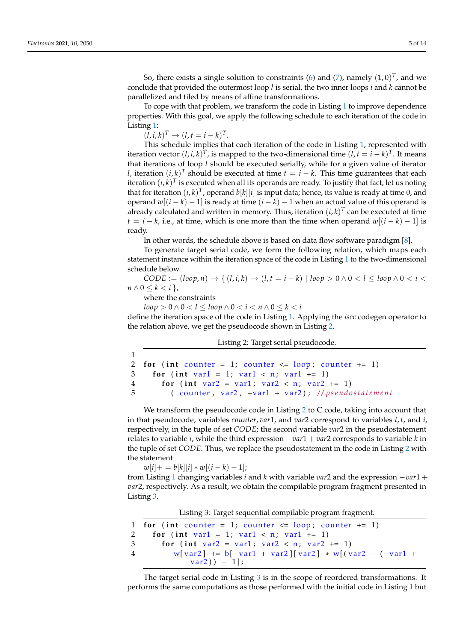So, there exists a single solution to constraints [\(6\)](#page-3-3) and [\(7\)](#page-3-4), namely  $(1,0)^T$ , and we conclude that provided the outermost loop *l* is serial, the two inner loops *i* and *k* cannot be parallelized and tiled by means of affine transformations.

To cope with that problem, we transform the code in Listing [1](#page-1-0) to improve dependence properties. With this goal, we apply the following schedule to each iteration of the code in Listing [1:](#page-1-0)

 $(l, i, k)^{T} \to (l, t = i - k)^{T}$ .

This schedule implies that each iteration of the code in Listing [1,](#page-1-0) represented with iteration vector  $(l, i, k)^T$ , is mapped to the two-dimensional time  $(l, t = i - k)^T$ . It means that iterations of loop *l* should be executed serially, while for a given value of iterator *l*, iteration  $(i, k)^T$  should be executed at time  $t = i - k$ . This time guarantees that each iteration  $(i,k)^T$  is executed when all its operands are ready. To justify that fact, let us noting that for iteration  $(i, k)^T$ , operand  $b[k][i]$  is input data; hence, its value is ready at time 0, and operand  $w[(i - k) - 1]$  is ready at time  $(i - k) - 1$  when an actual value of this operand is already calculated and written in memory. Thus, iteration  $(i, k)^T$  can be executed at time  $t = i - k$ , i.e., at time, which is one more than the time when operand  $w[(i - k) - 1]$  is ready.

In other words, the schedule above is based on data flow software paradigm [\[8\]](#page-13-0).

To generate target serial code, we form the following relation, which maps each statement instance within the iteration space of the code in Listing [1](#page-1-0) to the two-dimensional schedule below.

 $CODE := (loop, n) \rightarrow \{ (l, i, k) \rightarrow (l, t = i - k) \mid loop > 0 \land 0 < l \le loop \land 0 < i <$  $n \wedge 0 \leq k \leq i$ ,

where the constraints

 $loop > 0 \land 0 < l < loop \land 0 < i < n \land 0 < k < i$ 

define the iteration space of the code in Listing [1.](#page-1-0) Applying the *iscc* codegen operator to the relation above, we get the pseudocode shown in Listing [2.](#page-4-0)

Listing 2: Target serial pseudocode.

```
1
2 for (int counter = 1; counter \leq loop; counter \neq 1)
3 for (int var1 = 1; var1 < n; var1 += 1)
4 for (int var2 = var1; var2 < n; var2 += 1)
5 ( counter, var2, -var1 + var2); //pseudostatement
```
We transform the pseudocode code in Listing [2](#page-4-0) to C code, taking into account that in that pseudocode, variables *counter*, *var*1, and *var*2 correspond to variables *l*, *t*, and *i*, respectively, in the tuple of set *CODE*; the second variable *var*2 in the pseudostatement relates to variable *i*, while the third expression −*var*1 + *var*2 corresponds to variable *k* in the tuple of set *CODE*. Thus, we replace the pseudostatement in the code in Listing [2](#page-4-0) with the statement

 $w[i] + = b[k][i] * w[(i - k) - 1];$ 

from Listing [1](#page-1-0) changing variables *i* and *k* with variable *var*2 and the expression −*var*1 + *var*2, respectively. As a result, we obtain the compilable program fragment presented in Listing [3.](#page-4-1)

Listing 3: Target sequential compilable program fragment.

```
1 for (int counter = 1; counter \leq loop; counter \neq 1)
2 for (int var1 = 1; var1 < n; var1 += 1)
3 for (int var2 = var1; var2 < n; var2 += 1)
4 w[var2] += b[-var1 + var2][var2] * w[(var2 - (-var1 +var2)) – 1];
```
The target serial code in Listing [3](#page-4-1) is in the scope of reordered transformations. It performs the same computations as those performed with the initial code in Listing [1](#page-1-0) but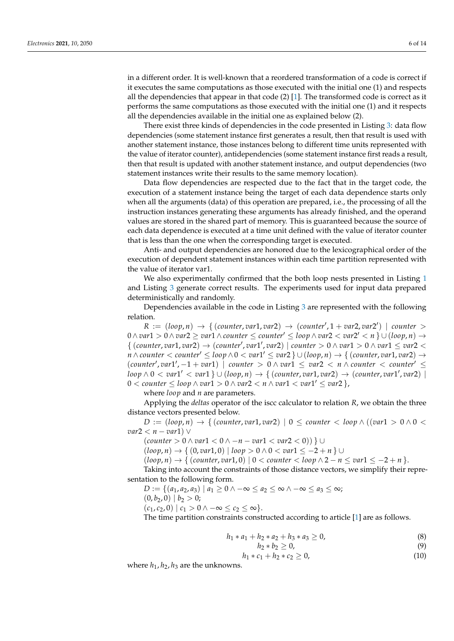in a different order. It is well-known that a reordered transformation of a code is correct if it executes the same computations as those executed with the initial one (1) and respects all the dependencies that appear in that code  $(2)$  [\[1\]](#page-12-0). The transformed code is correct as it performs the same computations as those executed with the initial one (1) and it respects all the dependencies available in the initial one as explained below (2).

There exist three kinds of dependencies in the code presented in Listing [3:](#page-4-1) data flow dependencies (some statement instance first generates a result, then that result is used with another statement instance, those instances belong to different time units represented with the value of iterator counter), antidependencies (some statement instance first reads a result, then that result is updated with another statement instance, and output dependencies (two statement instances write their results to the same memory location).

Data flow dependencies are respected due to the fact that in the target code, the execution of a statement instance being the target of each data dependence starts only when all the arguments (data) of this operation are prepared, i.e., the processing of all the instruction instances generating these arguments has already finished, and the operand values are stored in the shared part of memory. This is guaranteed because the source of each data dependence is executed at a time unit defined with the value of iterator counter that is less than the one when the corresponding target is executed.

Anti- and output dependencies are honored due to the lexicographical order of the execution of dependent statement instances within each time partition represented with the value of iterator var1.

We also experimentally confirmed that the both loop nests presented in Listing [1](#page-1-0) and Listing [3](#page-4-1) generate correct results. The experiments used for input data prepared deterministically and randomly.

Dependencies available in the code in Listing [3](#page-4-1) are represented with the following relation.

 $R := (loop, n) \rightarrow \{ (counter, var1, var2) \rightarrow (counter', 1 + var2, var2') \mid counter >$ 0∧ *var*1 > 0∧ *var*2 ≥ *var*1∧ *counter* ≤ *counter*<sup>0</sup> ≤ *loop* ∧ *var*2 < *var*2 <sup>0</sup> < *n* } ∪ (*loop*, *n*) →  $\{$  (*counter*, *var*1, *var*2)  $\rightarrow$  (*counter*<sup> $\prime$ </sup>, *var*1<sup> $\prime$ </sup>, *var*2) | *counter* > 0  $\land$  *var*1 > 0  $\land$  *var*1  $\leq$  *var*2 <  $n \wedge counter < counter' \leq loop \wedge 0 < var1' \leq var2$  }  $\cup (loop, n) \rightarrow$  { (counter,  $var1, var2) \rightarrow$  $(counter', var1', -1 + var1)$  | *counter* >  $0 \wedge var1 \leq var2 < n \wedge counter < counter' \leq$  $loop \wedge 0 < var1' < var1$  }  $\cup$   $(loop, n) \rightarrow$  {  $(counter, var1, var2) \rightarrow (counter, var1', var2)$  | 0 < *counter* ≤ *loop* ∧ *var*1 > 0 ∧ *var*2 < *n* ∧ *var*1 < *var*1 <sup>0</sup> ≤ *var*2 },

where *loop* and *n* are parameters.

Applying the *deltas* operator of the iscc calculator to relation *R*, we obtain the three distance vectors presented below.

 $D := (loop, n) \rightarrow \{ (counter, var1, var2) | 0 \leq counter \leq loop \land ((var1 > 0 \land 0 <$ *var*2 < *n* − *var*1) ∨

(*counter* > 0 ∧ *var*1 < 0 ∧ −*n* − *var*1 < *var*2 < 0)) } ∪

(*loop*, *n*) → { (0, *var*1, 0) | *loop* > 0 ∧ 0 < *var*1 ≤ −2 + *n* } ∪

 $(log(p, n) \rightarrow { (counter, var1, 0) | 0 < counter < loop>12 - n \le var1 \le -2 + n }.$ 

Taking into account the constraints of those distance vectors, we simplify their representation to the following form.

*D* := { $(a_1, a_2, a_3) | a_1 ≥ 0 ∧ -∞ ≤ a_2 ≤ ∞ ∧ -∞ ≤ a_3 ≤ ∞;$  $(0, b_2, 0) | b_2 > 0;$ 

 $(c_1, c_2, 0) | c_1 > 0 \land -\infty \leq c_2 \leq \infty$ .

The time partition constraints constructed according to article [\[1\]](#page-12-0) are as follows.

<span id="page-5-0"></span>
$$
h_1 * a_1 + h_2 * a_2 + h_3 * a_3 \ge 0,
$$
\n(8)

<span id="page-5-1"></span>
$$
h_2 * b_2 \ge 0,\tag{9}
$$

<span id="page-5-2"></span>
$$
n_1 * c_1 + n_2 * c_2 \geq 0, \tag{10}
$$

where  $h_1$ ,  $h_2$ ,  $h_3$  are the unknowns.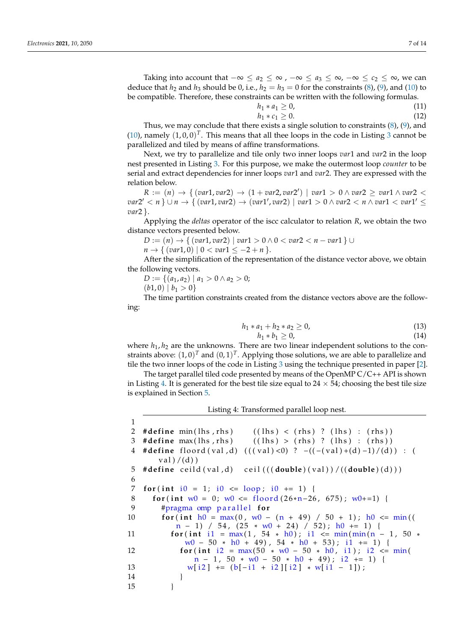Taking into account that  $-\infty \le a_2 \le \infty$ ,  $-\infty \le a_3 \le \infty$ ,  $-\infty \le c_2 \le \infty$ , we can deduce that  $h_2$  and  $h_3$  should be 0, i.e.,  $h_2 = h_3 = 0$  for the constraints [\(8\)](#page-5-0), [\(9\)](#page-5-1), and [\(10\)](#page-5-2) to be compatible. Therefore, these constraints can be written with the following formulas.

$$
h_1 * a_1 \geq 0,\tag{11}
$$

$$
h_1 * c_1 \geq 0. \tag{12}
$$

Thus, we may conclude that there exists a single solution to constraints  $(8)$ ,  $(9)$ , and  $(10)$ , namely  $(1, 0, 0)^T$ . This means that all thee loops in the code in Listing [3](#page-4-1) cannot be parallelized and tiled by means of affine transformations.

Next, we try to parallelize and tile only two inner loops *var*1 and *var*2 in the loop nest presented in Listing [3.](#page-4-1) For this purpose, we make the outermost loop *counter* to be serial and extract dependencies for inner loops *var*1 and *var*2. They are expressed with the relation below.

 $R := (n) \rightarrow \{ (var1, var2) \rightarrow (1 + var2, var2') \mid var1 > 0 \land var2 \ge var1 \land var2 < \emptyset$  $var2' < n$  }  $\cup$  *n*  $\rightarrow$  {  $(var1, var2)$   $\rightarrow$   $(var1', var2)$  |  $var1 > 0$   $\land var2 < n$   $\land var1 < var1' \leq$ *var*2 }.

Applying the *deltas* operator of the iscc calculator to relation *R*, we obtain the two distance vectors presented below.

*D* :=  $(n)$  → {  $(var1, var2)$  |  $var1 > 0$  ∧ 0 <  $var2 < n - var1$  } ∪

 $n \to \{ (var1, 0) \mid 0 < var1 \leq -2 + n \}.$ 

After the simplification of the representation of the distance vector above, we obtain the following vectors.

$$
D := \{ (a_1, a_2) \mid a_1 > 0 \land a_2 > 0; (b_1, a_2) \mid b_1 > 0 \}
$$

 $(b1, 0) | b_1 > 0$ 

The time partition constraints created from the distance vectors above are the following:

$$
h_1 * a_1 + h_2 * a_2 \ge 0,\tag{13}
$$

$$
h_1 * b_1 \geq 0,\tag{14}
$$

where  $h_1$ ,  $h_2$  are the unknowns. There are two linear independent solutions to the constraints above:  $(1,0)^T$  and  $(0,1)^T$ . Applying those solutions, we are able to parallelize and tile the two inner loops of the code in Listing [3](#page-4-1) using the technique presented in paper [\[2\]](#page-12-1).

The target parallel tiled code presented by means of the OpenMP C/C++ API is shown in Listing [4.](#page-6-0) It is generated for the best tile size equal to  $24 \times 54$ ; choosing the best tile size is explained in Section [5.](#page-8-0)

Listing 4: Transformed parallel loop nest.

<span id="page-6-0"></span>1 2 **#define** min(lhs, rhs) ((lhs) < (rhs) ? (lhs) : (rhs)) 3 **#define** max(lhs, rhs) ((lhs) > (rhs) ? (lhs) : (rhs)) 4 **#define** floord (val,d) (((val)<0) ? –((-(val)+(d)-1)/(d)) : (  $val) / (d)$ 5 **#define** ceild (val,d) ceil (((**double**)(val))/((**double**)(d))) 6 7 **for** (int i $0 = 1$ ; i $0 \le \log$ ; i $0 + 1 = 1$ ) { 8 **for** ( **int** w0 = 0; w0 <= floord  $(26*n-26, 675)$ ; w0+=1) {<br>9 **thrasma** omn parallel **for** 9 #pragma omp p a r a l l e l **f o r** 10 **for** (int  $h0 = max(0, w0 - (n + 49) / 50 + 1)$ ;  $h0 \leq min($  $n - 1$  / 54, (25 \* w0 + 24) / 52);  $h0$  += 1) { 11 **for** (**int** i1 =  $max(1, 54 * h0)$ ; i1 <=  $min(min(n - 1, 50 * h0))$  $w0 - 50 * h0 + 49$ ,  $54 * h0 + 53$ ; i1 += 1) { 12 **for** (**int** i 2 = max(50 \* w0 − 50 \* h0, i1), i 2 <= min(  $n - 1$ ,  $50 * w0 - 50 * h0 + 49$ ; i2 += 1) { 13  $w[i2]$  +=  $(b[-i1 + i2][i2] * w[i1 - 1])$ ; 14 } 15 }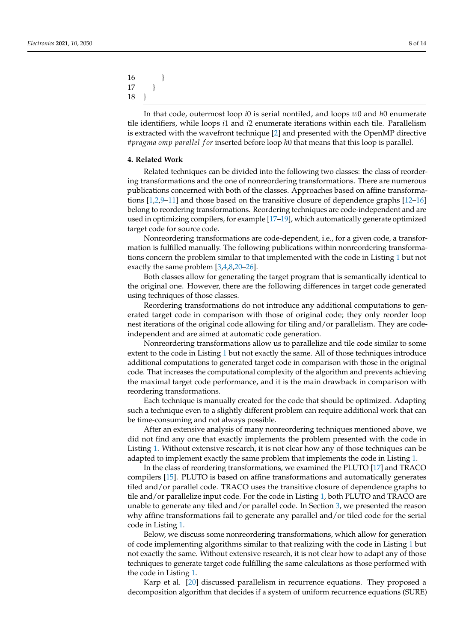16 } 17 } 18 }

In that code, outermost loop *i*0 is serial nontiled, and loops *w*0 and *h*0 enumerate tile identifiers, while loops *i*1 and *i*2 enumerate iterations within each tile. Parallelism is extracted with the wavefront technique [\[2\]](#page-12-1) and presented with the OpenMP directive #*pragma omp parallel f or* inserted before loop *h*0 that means that this loop is parallel.

#### <span id="page-7-0"></span>**4. Related Work**

Related techniques can be divided into the following two classes: the class of reordering transformations and the one of nonreordering transformations. There are numerous publications concerned with both of the classes. Approaches based on affine transformations [\[1,](#page-12-0)[2,](#page-12-1)[9–](#page-13-1)[11\]](#page-13-2) and those based on the transitive closure of dependence graphs [\[12–](#page-13-3)[16\]](#page-13-4) belong to reordering transformations. Reordering techniques are code-independent and are used in optimizing compilers, for example [\[17](#page-13-5)[–19\]](#page-13-6), which automatically generate optimized target code for source code.

Nonreordering transformations are code-dependent, i.e., for a given code, a transformation is fulfilled manually. The following publications within nonreordering transformations concern the problem similar to that implemented with the code in Listing [1](#page-1-0) but not exactly the same problem [\[3](#page-12-3)[,4](#page-12-4)[,8,](#page-13-0)[20–](#page-13-7)[26\]](#page-13-8).

Both classes allow for generating the target program that is semantically identical to the original one. However, there are the following differences in target code generated using techniques of those classes.

Reordering transformations do not introduce any additional computations to generated target code in comparison with those of original code; they only reorder loop nest iterations of the original code allowing for tiling and/or parallelism. They are codeindependent and are aimed at automatic code generation.

Nonreordering transformations allow us to parallelize and tile code similar to some extent to the code in Listing [1](#page-1-0) but not exactly the same. All of those techniques introduce additional computations to generated target code in comparison with those in the original code. That increases the computational complexity of the algorithm and prevents achieving the maximal target code performance, and it is the main drawback in comparison with reordering transformations.

Each technique is manually created for the code that should be optimized. Adapting such a technique even to a slightly different problem can require additional work that can be time-consuming and not always possible.

After an extensive analysis of many nonreordering techniques mentioned above, we did not find any one that exactly implements the problem presented with the code in Listing [1.](#page-1-0) Without extensive research, it is not clear how any of those techniques can be adapted to implement exactly the same problem that implements the code in Listing [1.](#page-1-0)

In the class of reordering transformations, we examined the PLUTO [\[17\]](#page-13-5) and TRACO compilers [\[15\]](#page-13-9). PLUTO is based on affine transformations and automatically generates tiled and/or parallel code. TRACO uses the transitive closure of dependence graphs to tile and/or parallelize input code. For the code in Listing [1,](#page-1-0) both PLUTO and TRACO are unable to generate any tiled and/or parallel code. In Section [3,](#page-2-0) we presented the reason why affine transformations fail to generate any parallel and/or tiled code for the serial code in Listing [1.](#page-1-0)

Below, we discuss some nonreordering transformations, which allow for generation of code implementing algorithms similar to that realizing with the code in Listing [1](#page-1-0) but not exactly the same. Without extensive research, it is not clear how to adapt any of those techniques to generate target code fulfilling the same calculations as those performed with the code in Listing [1.](#page-1-0)

Karp et al. [\[20\]](#page-13-7) discussed parallelism in recurrence equations. They proposed a decomposition algorithm that decides if a system of uniform recurrence equations (SURE)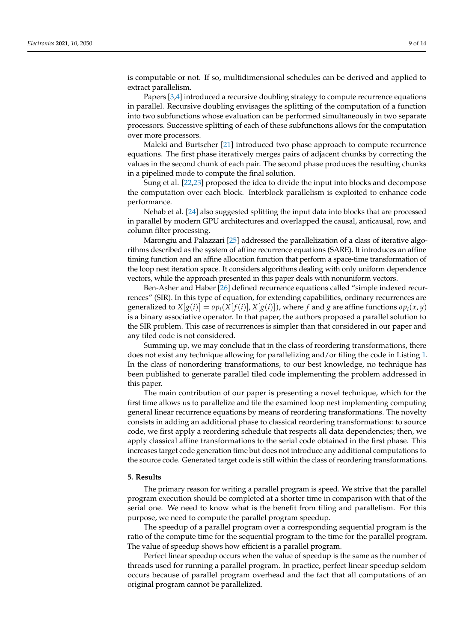is computable or not. If so, multidimensional schedules can be derived and applied to extract parallelism.

Papers [\[3](#page-12-3)[,4\]](#page-12-4) introduced a recursive doubling strategy to compute recurrence equations in parallel. Recursive doubling envisages the splitting of the computation of a function into two subfunctions whose evaluation can be performed simultaneously in two separate processors. Successive splitting of each of these subfunctions allows for the computation over more processors.

Maleki and Burtscher [\[21\]](#page-13-10) introduced two phase approach to compute recurrence equations. The first phase iteratively merges pairs of adjacent chunks by correcting the values in the second chunk of each pair. The second phase produces the resulting chunks in a pipelined mode to compute the final solution.

Sung et al. [\[22](#page-13-11)[,23\]](#page-13-12) proposed the idea to divide the input into blocks and decompose the computation over each block. Interblock parallelism is exploited to enhance code performance.

Nehab et al. [\[24\]](#page-13-13) also suggested splitting the input data into blocks that are processed in parallel by modern GPU architectures and overlapped the causal, anticausal, row, and column filter processing.

Marongiu and Palazzari [\[25\]](#page-13-14) addressed the parallelization of a class of iterative algorithms described as the system of affine recurrence equations (SARE). It introduces an affine timing function and an affine allocation function that perform a space-time transformation of the loop nest iteration space. It considers algorithms dealing with only uniform dependence vectors, while the approach presented in this paper deals with nonuniform vectors.

Ben-Asher and Haber [\[26\]](#page-13-8) defined recurrence equations called "simple indexed recurrences" (SIR). In this type of equation, for extending capabilities, ordinary recurrences are generalized to  $X[g(i)] = op_i(X[f(i)], X[g(i)])$ , where f and g are affine functions  $op_i(x, y)$ is a binary associative operator. In that paper, the authors proposed a parallel solution to the SIR problem. This case of recurrences is simpler than that considered in our paper and any tiled code is not considered.

Summing up, we may conclude that in the class of reordering transformations, there does not exist any technique allowing for parallelizing and/or tiling the code in Listing [1.](#page-1-0) In the class of nonordering transformations, to our best knowledge, no technique has been published to generate parallel tiled code implementing the problem addressed in this paper.

The main contribution of our paper is presenting a novel technique, which for the first time allows us to parallelize and tile the examined loop nest implementing computing general linear recurrence equations by means of reordering transformations. The novelty consists in adding an additional phase to classical reordering transformations: to source code, we first apply a reordering schedule that respects all data dependencies; then, we apply classical affine transformations to the serial code obtained in the first phase. This increases target code generation time but does not introduce any additional computations to the source code. Generated target code is still within the class of reordering transformations.

#### <span id="page-8-0"></span>**5. Results**

The primary reason for writing a parallel program is speed. We strive that the parallel program execution should be completed at a shorter time in comparison with that of the serial one. We need to know what is the benefit from tiling and parallelism. For this purpose, we need to compute the parallel program speedup.

The speedup of a parallel program over a corresponding sequential program is the ratio of the compute time for the sequential program to the time for the parallel program. The value of speedup shows how efficient is a parallel program.

Perfect linear speedup occurs when the value of speedup is the same as the number of threads used for running a parallel program. In practice, perfect linear speedup seldom occurs because of parallel program overhead and the fact that all computations of an original program cannot be parallelized.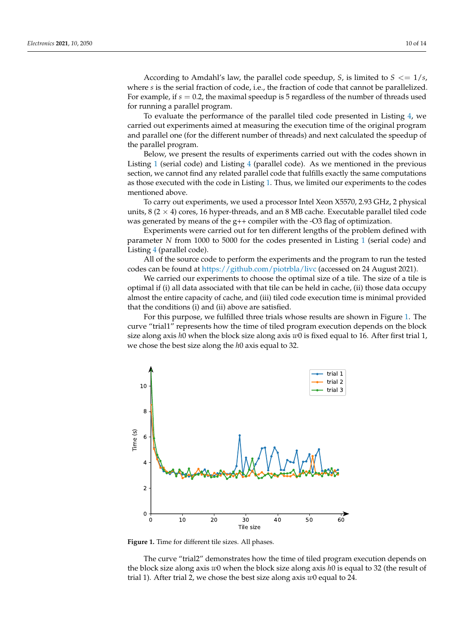According to Amdahl's law, the parallel code speedup, *S*, is limited to *S* <= 1/*s*, where *s* is the serial fraction of code, i.e., the fraction of code that cannot be parallelized. For example, if *s* = 0.2, the maximal speedup is 5 regardless of the number of threads used for running a parallel program.

To evaluate the performance of the parallel tiled code presented in Listing [4,](#page-6-0) we carried out experiments aimed at measuring the execution time of the original program and parallel one (for the different number of threads) and next calculated the speedup of the parallel program.

Below, we present the results of experiments carried out with the codes shown in Listing [1](#page-1-0) (serial code) and Listing [4](#page-6-0) (parallel code). As we mentioned in the previous section, we cannot find any related parallel code that fulfills exactly the same computations as those executed with the code in Listing [1.](#page-1-0) Thus, we limited our experiments to the codes mentioned above.

To carry out experiments, we used a processor Intel Xeon X5570, 2.93 GHz, 2 physical units,  $8$  ( $2 \times 4$ ) cores, 16 hyper-threads, and an  $8$  MB cache. Executable parallel tiled code was generated by means of the g++ compiler with the -O3 flag of optimization.

Experiments were carried out for ten different lengths of the problem defined with parameter *N* from 1000 to 5000 for the codes presented in Listing [1](#page-1-0) (serial code) and Listing [4](#page-6-0) (parallel code).

All of the source code to perform the experiments and the program to run the tested codes can be found at <https://github.com/piotrbla/livc> (accessed on 24 August 2021).

We carried our experiments to choose the optimal size of a tile. The size of a tile is optimal if (i) all data associated with that tile can be held in cache, (ii) those data occupy almost the entire capacity of cache, and (iii) tiled code execution time is minimal provided that the conditions (i) and (ii) above are satisfied.

For this purpose, we fulfilled three trials whose results are shown in Figure [1.](#page-9-0) The curve "trial1" represents how the time of tiled program execution depends on the block size along axis *h*0 when the block size along axis *w*0 is fixed equal to 16. After first trial 1, we chose the best size along the *h*0 axis equal to 32.

<span id="page-9-0"></span>

**Figure 1.** Time for different tile sizes. All phases.

The curve "trial2" demonstrates how the time of tiled program execution depends on the block size along axis *w*0 when the block size along axis *h*0 is equal to 32 (the result of trial 1). After trial 2, we chose the best size along axis *w*0 equal to 24.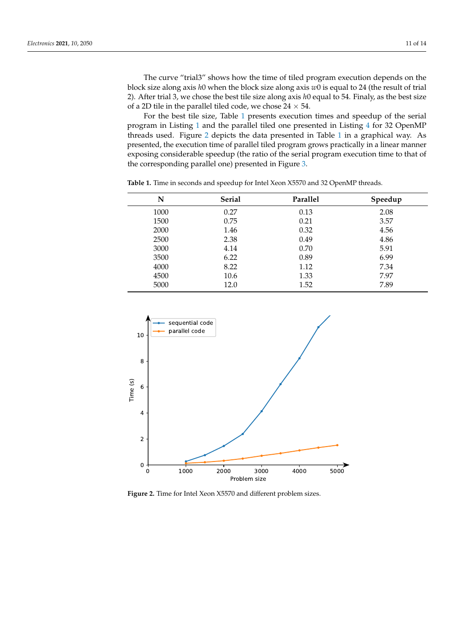The curve "trial3" shows how the time of tiled program execution depends on the block size along axis *h*0 when the block size along axis *w*0 is equal to 24 (the result of trial 2). After trial 3, we chose the best tile size along axis *h*0 equal to 54. Finaly, as the best size of a 2D tile in the parallel tiled code, we chose  $24 \times 54$ .

For the best tile size, Table [1](#page-10-0) presents execution times and speedup of the serial program in Listing [1](#page-1-0) and the parallel tiled one presented in Listing [4](#page-6-0) for 32 OpenMP threads used. Figure [2](#page-10-1) depicts the data presented in Table [1](#page-10-0) in a graphical way. As presented, the execution time of parallel tiled program grows practically in a linear manner exposing considerable speedup (the ratio of the serial program execution time to that of the corresponding parallel one) presented in Figure [3.](#page-11-0)

| N    | <b>Serial</b> | Parallel | Speedup |
|------|---------------|----------|---------|
| 1000 | 0.27          | 0.13     | 2.08    |
| 1500 | 0.75          | 0.21     | 3.57    |
| 2000 | 1.46          | 0.32     | 4.56    |
| 2500 | 2.38          | 0.49     | 4.86    |
| 3000 | 4.14          | 0.70     | 5.91    |
| 3500 | 6.22          | 0.89     | 6.99    |
| 4000 | 8.22          | 1.12     | 7.34    |
| 4500 | 10.6          | 1.33     | 7.97    |
| 5000 | 12.0          | 1.52     | 7.89    |

<span id="page-10-0"></span>**Table 1.** Time in seconds and speedup for Intel Xeon X5570 and 32 OpenMP threads.

<span id="page-10-1"></span>

**Figure 2.** Time for Intel Xeon X5570 and different problem sizes.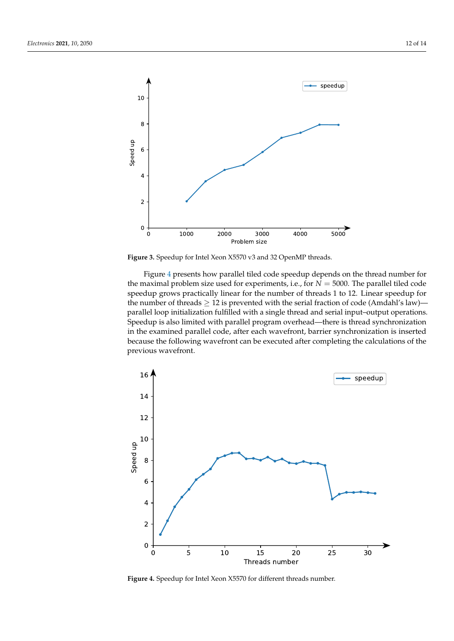<span id="page-11-0"></span>

**Figure 3.** Speedup for Intel Xeon X5570 v3 and 32 OpenMP threads.

Figure [4](#page-11-1) presents how parallel tiled code speedup depends on the thread number for the maximal problem size used for experiments, i.e., for  $N = 5000$ . The parallel tiled code speedup grows practically linear for the number of threads 1 to 12. Linear speedup for the number of threads  $\geq 12$  is prevented with the serial fraction of code (Amdahl's law) parallel loop initialization fulfilled with a single thread and serial input–output operations. Speedup is also limited with parallel program overhead—there is thread synchronization in the examined parallel code, after each wavefront, barrier synchronization is inserted because the following wavefront can be executed after completing the calculations of the previous wavefront.

<span id="page-11-1"></span>

**Figure 4.** Speedup for Intel Xeon X5570 for different threads number.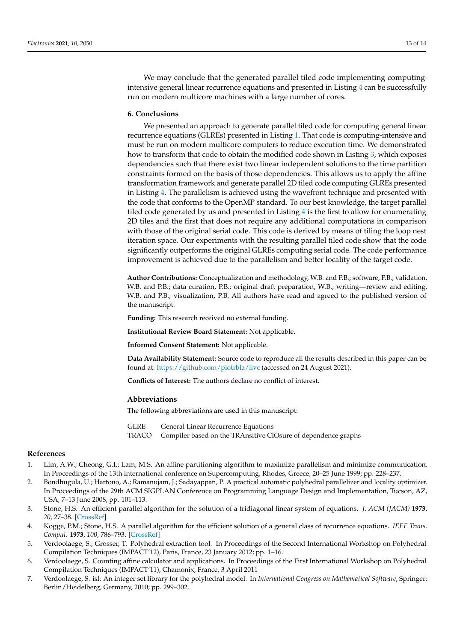We may conclude that the generated parallel tiled code implementing computingintensive general linear recurrence equations and presented in Listing [4](#page-6-0) can be successfully run on modern multicore machines with a large number of cores.

#### <span id="page-12-2"></span>**6. Conclusions**

We presented an approach to generate parallel tiled code for computing general linear recurrence equations (GLREs) presented in Listing [1.](#page-1-0) That code is computing-intensive and must be run on modern multicore computers to reduce execution time. We demonstrated how to transform that code to obtain the modified code shown in Listing [3,](#page-4-1) which exposes dependencies such that there exist two linear independent solutions to the time partition constraints formed on the basis of those dependencies. This allows us to apply the affine transformation framework and generate parallel 2D tiled code computing GLREs presented in Listing [4.](#page-6-0) The parallelism is achieved using the wavefront technique and presented with the code that conforms to the OpenMP standard. To our best knowledge, the target parallel tiled code generated by us and presented in Listing [4](#page-6-0) is the first to allow for enumerating 2D tiles and the first that does not require any additional computations in comparison with those of the original serial code. This code is derived by means of tiling the loop nest iteration space. Our experiments with the resulting parallel tiled code show that the code significantly outperforms the original GLREs computing serial code. The code performance improvement is achieved due to the parallelism and better locality of the target code.

**Author Contributions:** Conceptualization and methodology, W.B. and P.B.; software, P.B.; validation, W.B. and P.B.; data curation, P.B.; original draft preparation, W.B.; writing—review and editing, W.B. and P.B.; visualization, P.B. All authors have read and agreed to the published version of the manuscript.

**Funding:** This research received no external funding.

**Institutional Review Board Statement:** Not applicable.

**Informed Consent Statement:** Not applicable.

**Data Availability Statement:** Source code to reproduce all the results described in this paper can be found at: <https://github.com/piotrbla/livc> (accessed on 24 August 2021).

**Conflicts of Interest:** The authors declare no conflict of interest.

#### **Abbreviations**

The following abbreviations are used in this manuscript:

GLRE General Linear Recurrence Equations

TRACO Compiler based on the TRAnsitive ClOsure of dependence graphs

#### **References**

- <span id="page-12-0"></span>1. Lim, A.W.; Cheong, G.I.; Lam, M.S. An affine partitioning algorithm to maximize parallelism and minimize communication. In Proceedings of the 13th international conference on Supercomputing, Rhodes, Greece, 20–25 June 1999; pp. 228–237.
- <span id="page-12-1"></span>2. Bondhugula, U.; Hartono, A.; Ramanujam, J.; Sadayappan, P. A practical automatic polyhedral parallelizer and locality optimizer. In Proceedings of the 29th ACM SIGPLAN Conference on Programming Language Design and Implementation, Tucson, AZ, USA, 7–13 June 2008; pp. 101–113.
- <span id="page-12-3"></span>3. Stone, H.S. An efficient parallel algorithm for the solution of a tridiagonal linear system of equations. *J. ACM (JACM)* **1973**, *20*, 27–38. [\[CrossRef\]](http://doi.org/10.1145/321738.321741)
- <span id="page-12-4"></span>4. Kogge, P.M.; Stone, H.S. A parallel algorithm for the efficient solution of a general class of recurrence equations. *IEEE Trans. Comput.* **1973**, *100*, 786–793. [\[CrossRef\]](http://dx.doi.org/10.1109/TC.1973.5009159)
- <span id="page-12-5"></span>5. Verdoolaege, S.; Grosser, T. Polyhedral extraction tool. In Proceedings of the Second International Workshop on Polyhedral Compilation Techniques (IMPACT'12), Paris, France, 23 January 2012; pp. 1–16.
- <span id="page-12-6"></span>6. Verdoolaege, S. Counting affine calculator and applications. In Proceedings of the First International Workshop on Polyhedral Compilation Techniques (IMPACT'11), Chamonix, France, 3 April 2011
- <span id="page-12-7"></span>7. Verdoolaege, S. isl: An integer set library for the polyhedral model. In *International Congress on Mathematical Software*; Springer: Berlin/Heidelberg, Germany, 2010; pp. 299–302.